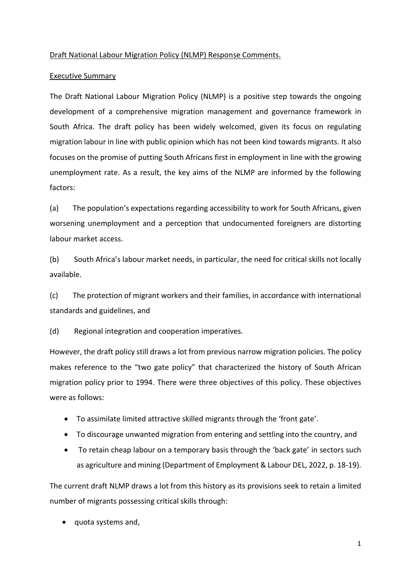# Draft National Labour Migration Policy (NLMP) Response Comments.

## Executive Summary

The Draft National Labour Migration Policy (NLMP) is a positive step towards the ongoing development of a comprehensive migration management and governance framework in South Africa. The draft policy has been widely welcomed, given its focus on regulating migration labour in line with public opinion which has not been kind towards migrants. It also focuses on the promise of putting South Africans first in employment in line with the growing unemployment rate. As a result, the key aims of the NLMP are informed by the following factors:

(a) The population's expectations regarding accessibility to work for South Africans, given worsening unemployment and a perception that undocumented foreigners are distorting labour market access.

(b) South Africa's labour market needs, in particular, the need for critical skills not locally available.

(c) The protection of migrant workers and their families, in accordance with international standards and guidelines, and

(d) Regional integration and cooperation imperatives.

However, the draft policy still draws a lot from previous narrow migration policies. The policy makes reference to the "two gate policy" that characterized the history of South African migration policy prior to 1994. There were three objectives of this policy. These objectives were as follows:

- To assimilate limited attractive skilled migrants through the 'front gate'.
- To discourage unwanted migration from entering and settling into the country, and
- To retain cheap labour on a temporary basis through the 'back gate' in sectors such as agriculture and mining (Department of Employment & Labour DEL, 2022, p. 18-19).

The current draft NLMP draws a lot from this history as its provisions seek to retain a limited number of migrants possessing critical skills through:

• quota systems and,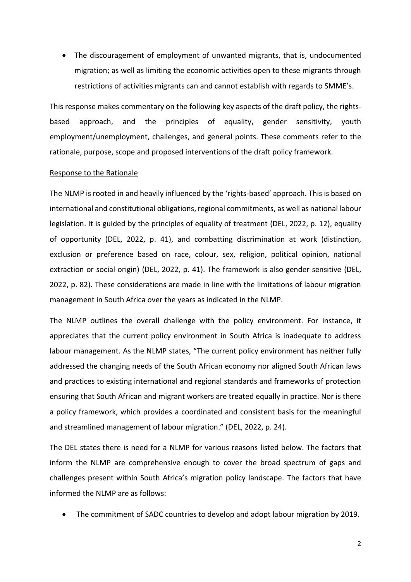• The discouragement of employment of unwanted migrants, that is, undocumented migration; as well as limiting the economic activities open to these migrants through restrictions of activities migrants can and cannot establish with regards to SMME's.

This response makes commentary on the following key aspects of the draft policy, the rightsbased approach, and the principles of equality, gender sensitivity, youth employment/unemployment, challenges, and general points. These comments refer to the rationale, purpose, scope and proposed interventions of the draft policy framework.

## Response to the Rationale

The NLMP is rooted in and heavily influenced by the 'rights-based' approach. This is based on international and constitutional obligations, regional commitments, as well as national labour legislation. It is guided by the principles of equality of treatment (DEL, 2022, p. 12), equality of opportunity (DEL, 2022, p. 41), and combatting discrimination at work (distinction, exclusion or preference based on race, colour, sex, religion, political opinion, national extraction or social origin) (DEL, 2022, p. 41). The framework is also gender sensitive (DEL, 2022, p. 82). These considerations are made in line with the limitations of labour migration management in South Africa over the years as indicated in the NLMP.

The NLMP outlines the overall challenge with the policy environment. For instance, it appreciates that the current policy environment in South Africa is inadequate to address labour management. As the NLMP states, "The current policy environment has neither fully addressed the changing needs of the South African economy nor aligned South African laws and practices to existing international and regional standards and frameworks of protection ensuring that South African and migrant workers are treated equally in practice. Nor is there a policy framework, which provides a coordinated and consistent basis for the meaningful and streamlined management of labour migration." (DEL, 2022, p. 24).

The DEL states there is need for a NLMP for various reasons listed below. The factors that inform the NLMP are comprehensive enough to cover the broad spectrum of gaps and challenges present within South Africa's migration policy landscape. The factors that have informed the NLMP are as follows:

• The commitment of SADC countries to develop and adopt labour migration by 2019.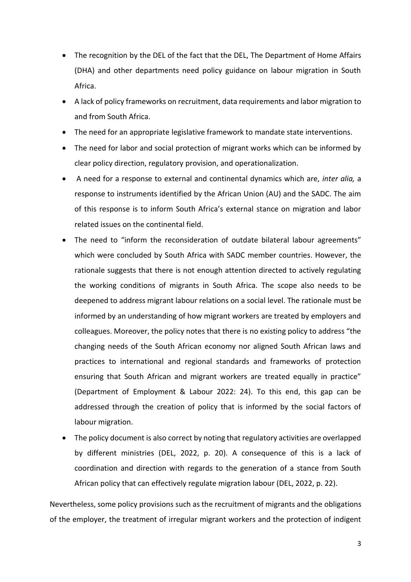- The recognition by the DEL of the fact that the DEL, The Department of Home Affairs (DHA) and other departments need policy guidance on labour migration in South Africa.
- A lack of policy frameworks on recruitment, data requirements and labor migration to and from South Africa.
- The need for an appropriate legislative framework to mandate state interventions.
- The need for labor and social protection of migrant works which can be informed by clear policy direction, regulatory provision, and operationalization.
- A need for a response to external and continental dynamics which are, *inter alia,* a response to instruments identified by the African Union (AU) and the SADC. The aim of this response is to inform South Africa's external stance on migration and labor related issues on the continental field.
- The need to "inform the reconsideration of outdate bilateral labour agreements" which were concluded by South Africa with SADC member countries. However, the rationale suggests that there is not enough attention directed to actively regulating the working conditions of migrants in South Africa. The scope also needs to be deepened to address migrant labour relations on a social level. The rationale must be informed by an understanding of how migrant workers are treated by employers and colleagues. Moreover, the policy notes that there is no existing policy to address "the changing needs of the South African economy nor aligned South African laws and practices to international and regional standards and frameworks of protection ensuring that South African and migrant workers are treated equally in practice" (Department of Employment & Labour 2022: 24). To this end, this gap can be addressed through the creation of policy that is informed by the social factors of labour migration.
- The policy document is also correct by noting that regulatory activities are overlapped by different ministries (DEL, 2022, p. 20). A consequence of this is a lack of coordination and direction with regards to the generation of a stance from South African policy that can effectively regulate migration labour (DEL, 2022, p. 22).

Nevertheless, some policy provisions such as the recruitment of migrants and the obligations of the employer, the treatment of irregular migrant workers and the protection of indigent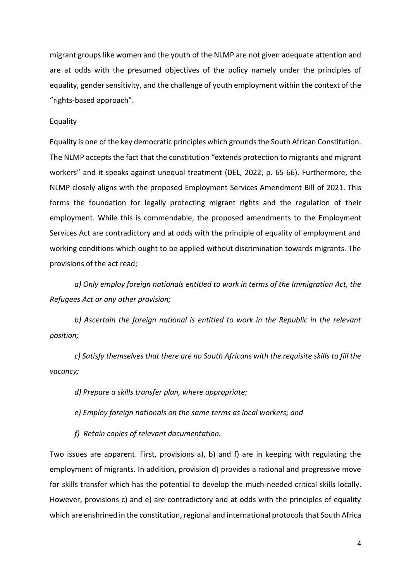migrant groups like women and the youth of the NLMP are not given adequate attention and are at odds with the presumed objectives of the policy namely under the principles of equality, gender sensitivity, and the challenge of youth employment within the context of the "rights-based approach".

### Equality

Equality is one of the key democratic principles which groundsthe South African Constitution. The NLMP accepts the fact that the constitution "extends protection to migrants and migrant workers" and it speaks against unequal treatment (DEL, 2022, p. 65-66). Furthermore, the NLMP closely aligns with the proposed Employment Services Amendment Bill of 2021. This forms the foundation for legally protecting migrant rights and the regulation of their employment. While this is commendable, the proposed amendments to the Employment Services Act are contradictory and at odds with the principle of equality of employment and working conditions which ought to be applied without discrimination towards migrants. The provisions of the act read;

*a) Only employ foreign nationals entitled to work in terms of the Immigration Act, the Refugees Act or any other provision;*

*b) Ascertain the foreign national is entitled to work in the Republic in the relevant position;* 

*c) Satisfy themselves that there are no South Africans with the requisite skills to fill the vacancy;*

*d) Prepare a skills transfer plan, where appropriate;* 

*e) Employ foreign nationals on the same terms as local workers; and* 

*f) Retain copies of relevant documentation.*

Two issues are apparent. First, provisions a), b) and f) are in keeping with regulating the employment of migrants. In addition, provision d) provides a rational and progressive move for skills transfer which has the potential to develop the much-needed critical skills locally. However, provisions c) and e) are contradictory and at odds with the principles of equality which are enshrined in the constitution, regional and international protocols that South Africa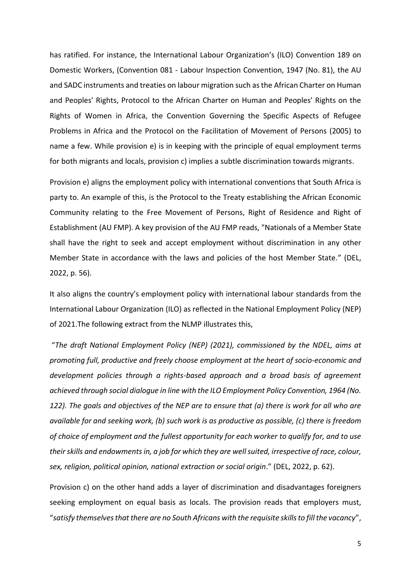has ratified. For instance, the International Labour Organization's (ILO) Convention 189 on Domestic Workers, (Convention 081 - Labour Inspection Convention, 1947 (No. 81), the AU and SADC instruments and treaties on labour migration such as the African Charter on Human and Peoples' Rights, Protocol to the African Charter on Human and Peoples' Rights on the Rights of Women in Africa, the Convention Governing the Specific Aspects of Refugee Problems in Africa and the Protocol on the Facilitation of Movement of Persons (2005) to name a few. While provision e) is in keeping with the principle of equal employment terms for both migrants and locals, provision c) implies a subtle discrimination towards migrants.

Provision e) aligns the employment policy with international conventions that South Africa is party to. An example of this, is the Protocol to the Treaty establishing the African Economic Community relating to the Free Movement of Persons, Right of Residence and Right of Establishment (AU FMP). A key provision of the AU FMP reads, "Nationals of a Member State shall have the right to seek and accept employment without discrimination in any other Member State in accordance with the laws and policies of the host Member State." (DEL, 2022, p. 56).

It also aligns the country's employment policy with international labour standards from the International Labour Organization (ILO) as reflected in the National Employment Policy (NEP) of 2021.The following extract from the NLMP illustrates this,

"*The draft National Employment Policy (NEP) (2021), commissioned by the NDEL, aims at promoting full, productive and freely choose employment at the heart of socio-economic and development policies through a rights-based approach and a broad basis of agreement achieved through social dialogue in line with the ILO Employment Policy Convention, 1964 (No. 122). The goals and objectives of the NEP are to ensure that (a) there is work for all who are available for and seeking work, (b) such work is as productive as possible, (c) there is freedom of choice of employment and the fullest opportunity for each worker to qualify for, and to use their skills and endowments in, a job for which they are well suited, irrespective of race, colour, sex, religion, political opinion, national extraction or social origin*." (DEL, 2022, p. 62).

Provision c) on the other hand adds a layer of discrimination and disadvantages foreigners seeking employment on equal basis as locals. The provision reads that employers must, "*satisfy themselves that there are no South Africans with the requisite skills to fill the vacancy*",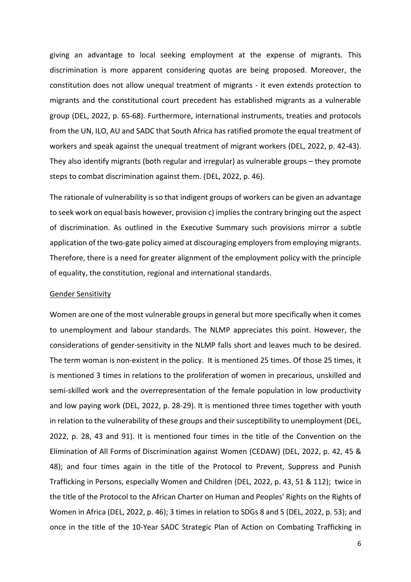giving an advantage to local seeking employment at the expense of migrants. This discrimination is more apparent considering quotas are being proposed. Moreover, the constitution does not allow unequal treatment of migrants - it even extends protection to migrants and the constitutional court precedent has established migrants as a vulnerable group (DEL, 2022, p. 65-68). Furthermore, international instruments, treaties and protocols from the UN, ILO, AU and SADC that South Africa has ratified promote the equal treatment of workers and speak against the unequal treatment of migrant workers (DEL, 2022, p. 42-43). They also identify migrants (both regular and irregular) as vulnerable groups – they promote steps to combat discrimination against them. (DEL, 2022, p. 46).

The rationale of vulnerability is so that indigent groups of workers can be given an advantage to seek work on equal basis however, provision c) implies the contrary bringing out the aspect of discrimination. As outlined in the Executive Summary such provisions mirror a subtle application of the two-gate policy aimed at discouraging employers from employing migrants. Therefore, there is a need for greater alignment of the employment policy with the principle of equality, the constitution, regional and international standards.

### Gender Sensitivity

Women are one of the most vulnerable groups in general but more specifically when it comes to unemployment and labour standards. The NLMP appreciates this point. However, the considerations of gender-sensitivity in the NLMP falls short and leaves much to be desired. The term woman is non-existent in the policy. It is mentioned 25 times. Of those 25 times, it is mentioned 3 times in relations to the proliferation of women in precarious, unskilled and semi-skilled work and the overrepresentation of the female population in low productivity and low paying work (DEL, 2022, p. 28-29). It is mentioned three times together with youth in relation to the vulnerability of these groups and their susceptibility to unemployment (DEL, 2022, p. 28, 43 and 91). It is mentioned four times in the title of the Convention on the Elimination of All Forms of Discrimination against Women (CEDAW) (DEL, 2022, p. 42, 45 & 48); and four times again in the title of the Protocol to Prevent, Suppress and Punish Trafficking in Persons, especially Women and Children (DEL, 2022, p. 43, 51 & 112); twice in the title of the Protocol to the African Charter on Human and Peoples' Rights on the Rights of Women in Africa (DEL, 2022, p. 46); 3 times in relation to SDGs 8 and 5 (DEL, 2022, p. 53); and once in the title of the 10-Year SADC Strategic Plan of Action on Combating Trafficking in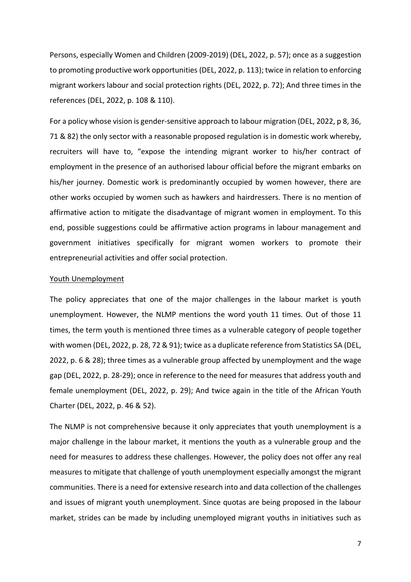Persons, especially Women and Children (2009-2019) (DEL, 2022, p. 57); once as a suggestion to promoting productive work opportunities (DEL, 2022, p. 113); twice in relation to enforcing migrant workers labour and social protection rights (DEL, 2022, p. 72); And three times in the references (DEL, 2022, p. 108 & 110).

For a policy whose vision is gender-sensitive approach to labour migration (DEL, 2022, p 8, 36, 71 & 82) the only sector with a reasonable proposed regulation is in domestic work whereby, recruiters will have to, "expose the intending migrant worker to his/her contract of employment in the presence of an authorised labour official before the migrant embarks on his/her journey. Domestic work is predominantly occupied by women however, there are other works occupied by women such as hawkers and hairdressers. There is no mention of affirmative action to mitigate the disadvantage of migrant women in employment. To this end, possible suggestions could be affirmative action programs in labour management and government initiatives specifically for migrant women workers to promote their entrepreneurial activities and offer social protection.

#### Youth Unemployment

The policy appreciates that one of the major challenges in the labour market is youth unemployment. However, the NLMP mentions the word youth 11 times. Out of those 11 times, the term youth is mentioned three times as a vulnerable category of people together with women (DEL, 2022, p. 28, 72 & 91); twice as a duplicate reference from Statistics SA (DEL, 2022, p. 6 & 28); three times as a vulnerable group affected by unemployment and the wage gap (DEL, 2022, p. 28-29); once in reference to the need for measures that address youth and female unemployment (DEL, 2022, p. 29); And twice again in the title of the African Youth Charter (DEL, 2022, p. 46 & 52).

The NLMP is not comprehensive because it only appreciates that youth unemployment is a major challenge in the labour market, it mentions the youth as a vulnerable group and the need for measures to address these challenges. However, the policy does not offer any real measures to mitigate that challenge of youth unemployment especially amongst the migrant communities. There is a need for extensive research into and data collection of the challenges and issues of migrant youth unemployment. Since quotas are being proposed in the labour market, strides can be made by including unemployed migrant youths in initiatives such as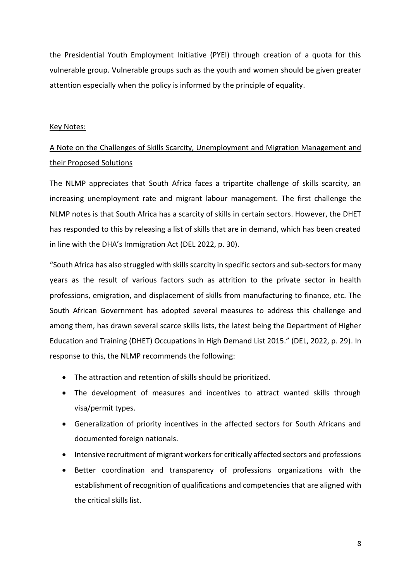the Presidential Youth Employment Initiative (PYEI) through creation of a quota for this vulnerable group. Vulnerable groups such as the youth and women should be given greater attention especially when the policy is informed by the principle of equality.

## Key Notes:

# A Note on the Challenges of Skills Scarcity, Unemployment and Migration Management and their Proposed Solutions

The NLMP appreciates that South Africa faces a tripartite challenge of skills scarcity, an increasing unemployment rate and migrant labour management. The first challenge the NLMP notes is that South Africa has a scarcity of skills in certain sectors. However, the DHET has responded to this by releasing a list of skills that are in demand, which has been created in line with the DHA's Immigration Act (DEL 2022, p. 30).

"South Africa has also struggled with skills scarcity in specific sectors and sub-sectors for many years as the result of various factors such as attrition to the private sector in health professions, emigration, and displacement of skills from manufacturing to finance, etc. The South African Government has adopted several measures to address this challenge and among them, has drawn several scarce skills lists, the latest being the Department of Higher Education and Training (DHET) Occupations in High Demand List 2015." (DEL, 2022, p. 29). In response to this, the NLMP recommends the following:

- The attraction and retention of skills should be prioritized.
- The development of measures and incentives to attract wanted skills through visa/permit types.
- Generalization of priority incentives in the affected sectors for South Africans and documented foreign nationals.
- Intensive recruitment of migrant workers for critically affected sectors and professions
- Better coordination and transparency of professions organizations with the establishment of recognition of qualifications and competencies that are aligned with the critical skills list.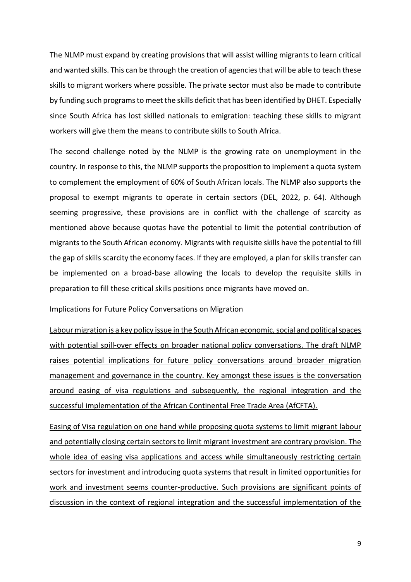The NLMP must expand by creating provisions that will assist willing migrants to learn critical and wanted skills. This can be through the creation of agencies that will be able to teach these skills to migrant workers where possible. The private sector must also be made to contribute by funding such programs to meet the skills deficit that has been identified by DHET. Especially since South Africa has lost skilled nationals to emigration: teaching these skills to migrant workers will give them the means to contribute skills to South Africa.

The second challenge noted by the NLMP is the growing rate on unemployment in the country. In response to this, the NLMP supports the proposition to implement a quota system to complement the employment of 60% of South African locals. The NLMP also supports the proposal to exempt migrants to operate in certain sectors (DEL, 2022, p. 64). Although seeming progressive, these provisions are in conflict with the challenge of scarcity as mentioned above because quotas have the potential to limit the potential contribution of migrants to the South African economy. Migrants with requisite skills have the potential to fill the gap of skills scarcity the economy faces. If they are employed, a plan for skills transfer can be implemented on a broad-base allowing the locals to develop the requisite skills in preparation to fill these critical skills positions once migrants have moved on.

## Implications for Future Policy Conversations on Migration

Labour migration is a key policy issue in the South African economic, social and political spaces with potential spill-over effects on broader national policy conversations. The draft NLMP raises potential implications for future policy conversations around broader migration management and governance in the country. Key amongst these issues is the conversation around easing of visa regulations and subsequently, the regional integration and the successful implementation of the African Continental Free Trade Area (AfCFTA).

Easing of Visa regulation on one hand while proposing quota systems to limit migrant labour and potentially closing certain sectors to limit migrant investment are contrary provision. The whole idea of easing visa applications and access while simultaneously restricting certain sectors for investment and introducing quota systems that result in limited opportunities for work and investment seems counter-productive. Such provisions are significant points of discussion in the context of regional integration and the successful implementation of the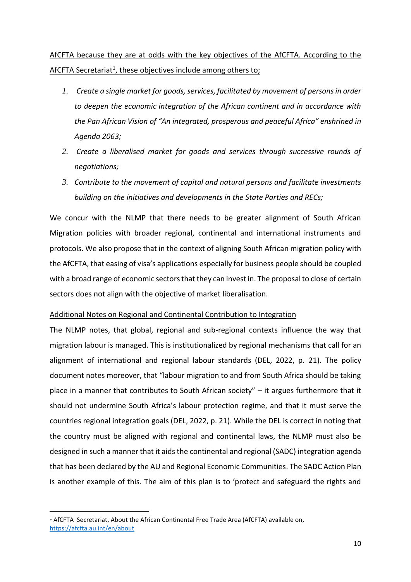# AfCFTA because they are at odds with the key objectives of the AfCFTA. According to the AfCFTA Secretariat<sup>1</sup>, these objectives include among others to;

- *1. Create a single market for goods, services, facilitated by movement of persons in order to deepen the economic integration of the African continent and in accordance with the Pan African Vision of "An integrated, prosperous and peaceful Africa" enshrined in Agenda 2063;*
- *2. Create a liberalised market for goods and services through successive rounds of negotiations;*
- *3. Contribute to the movement of capital and natural persons and facilitate investments building on the initiatives and developments in the State Parties and RECs;*

We concur with the NLMP that there needs to be greater alignment of South African Migration policies with broader regional, continental and international instruments and protocols. We also propose that in the context of aligning South African migration policy with the AfCFTA, that easing of visa's applications especially for business people should be coupled with a broad range of economic sectors that they can invest in. The proposal to close of certain sectors does not align with the objective of market liberalisation.

## Additional Notes on Regional and Continental Contribution to Integration

The NLMP notes, that global, regional and sub-regional contexts influence the way that migration labour is managed. This is institutionalized by regional mechanisms that call for an alignment of international and regional labour standards (DEL, 2022, p. 21). The policy document notes moreover, that "labour migration to and from South Africa should be taking place in a manner that contributes to South African society" – it argues furthermore that it should not undermine South Africa's labour protection regime, and that it must serve the countries regional integration goals (DEL, 2022, p. 21). While the DEL is correct in noting that the country must be aligned with regional and continental laws, the NLMP must also be designed in such a manner that it aids the continental and regional (SADC) integration agenda that has been declared by the AU and Regional Economic Communities. The SADC Action Plan is another example of this. The aim of this plan is to 'protect and safeguard the rights and

<sup>&</sup>lt;sup>1</sup> AfCFTA Secretariat, About the African Continental Free Trade Area (AfCFTA) available on, <https://afcfta.au.int/en/about>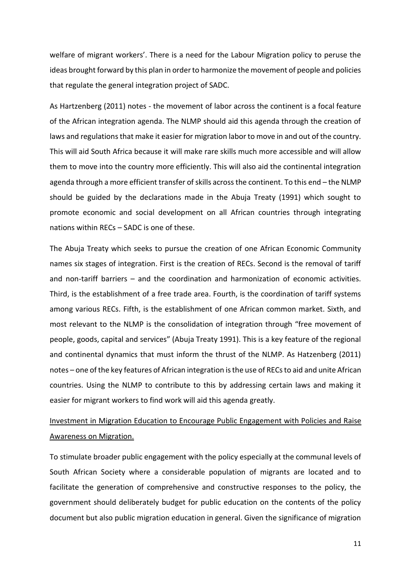welfare of migrant workers'. There is a need for the Labour Migration policy to peruse the ideas brought forward by this plan in order to harmonize the movement of people and policies that regulate the general integration project of SADC.

As Hartzenberg (2011) notes - the movement of labor across the continent is a focal feature of the African integration agenda. The NLMP should aid this agenda through the creation of laws and regulations that make it easier for migration labor to move in and out of the country. This will aid South Africa because it will make rare skills much more accessible and will allow them to move into the country more efficiently. This will also aid the continental integration agenda through a more efficient transfer of skills across the continent. To this end – the NLMP should be guided by the declarations made in the Abuja Treaty (1991) which sought to promote economic and social development on all African countries through integrating nations within RECs – SADC is one of these.

The Abuja Treaty which seeks to pursue the creation of one African Economic Community names six stages of integration. First is the creation of RECs. Second is the removal of tariff and non-tariff barriers – and the coordination and harmonization of economic activities. Third, is the establishment of a free trade area. Fourth, is the coordination of tariff systems among various RECs. Fifth, is the establishment of one African common market. Sixth, and most relevant to the NLMP is the consolidation of integration through "free movement of people, goods, capital and services" (Abuja Treaty 1991). This is a key feature of the regional and continental dynamics that must inform the thrust of the NLMP. As Hatzenberg (2011) notes – one of the key features of African integration is the use of RECs to aid and unite African countries. Using the NLMP to contribute to this by addressing certain laws and making it easier for migrant workers to find work will aid this agenda greatly.

# Investment in Migration Education to Encourage Public Engagement with Policies and Raise Awareness on Migration.

To stimulate broader public engagement with the policy especially at the communal levels of South African Society where a considerable population of migrants are located and to facilitate the generation of comprehensive and constructive responses to the policy, the government should deliberately budget for public education on the contents of the policy document but also public migration education in general. Given the significance of migration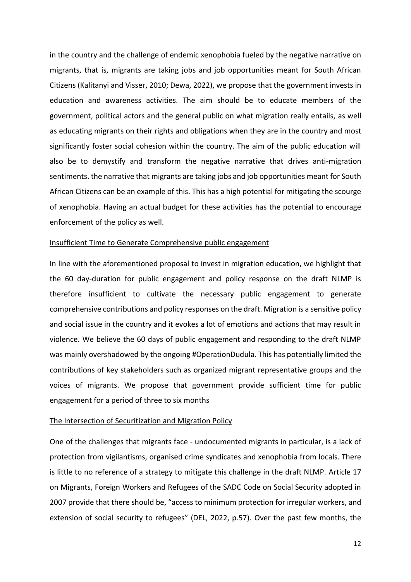in the country and the challenge of endemic xenophobia fueled by the negative narrative on migrants, that is, migrants are taking jobs and job opportunities meant for South African Citizens (Kalitanyi and Visser, 2010; Dewa, 2022), we propose that the government invests in education and awareness activities. The aim should be to educate members of the government, political actors and the general public on what migration really entails, as well as educating migrants on their rights and obligations when they are in the country and most significantly foster social cohesion within the country. The aim of the public education will also be to demystify and transform the negative narrative that drives anti-migration sentiments. the narrative that migrants are taking jobs and job opportunities meant for South African Citizens can be an example of this. This has a high potential for mitigating the scourge of xenophobia. Having an actual budget for these activities has the potential to encourage enforcement of the policy as well.

## Insufficient Time to Generate Comprehensive public engagement

In line with the aforementioned proposal to invest in migration education, we highlight that the 60 day-duration for public engagement and policy response on the draft NLMP is therefore insufficient to cultivate the necessary public engagement to generate comprehensive contributions and policy responses on the draft. Migration is a sensitive policy and social issue in the country and it evokes a lot of emotions and actions that may result in violence. We believe the 60 days of public engagement and responding to the draft NLMP was mainly overshadowed by the ongoing #OperationDudula. This has potentially limited the contributions of key stakeholders such as organized migrant representative groups and the voices of migrants. We propose that government provide sufficient time for public engagement for a period of three to six months

## The Intersection of Securitization and Migration Policy

One of the challenges that migrants face - undocumented migrants in particular, is a lack of protection from vigilantisms, organised crime syndicates and xenophobia from locals. There is little to no reference of a strategy to mitigate this challenge in the draft NLMP. Article 17 on Migrants, Foreign Workers and Refugees of the SADC Code on Social Security adopted in 2007 provide that there should be, "access to minimum protection for irregular workers, and extension of social security to refugees" (DEL, 2022, p.57). Over the past few months, the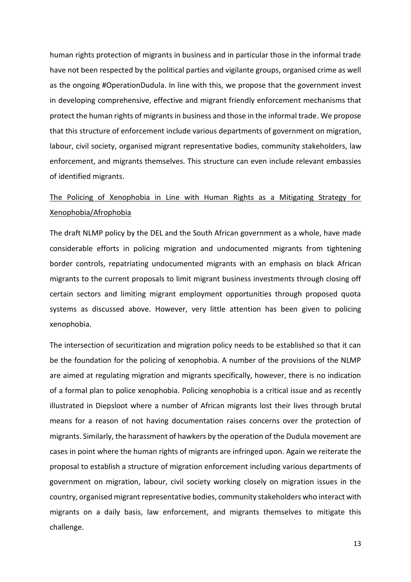human rights protection of migrants in business and in particular those in the informal trade have not been respected by the political parties and vigilante groups, organised crime as well as the ongoing #OperationDudula. In line with this, we propose that the government invest in developing comprehensive, effective and migrant friendly enforcement mechanisms that protect the human rights of migrants in business and those in the informal trade. We propose that this structure of enforcement include various departments of government on migration, labour, civil society, organised migrant representative bodies, community stakeholders, law enforcement, and migrants themselves. This structure can even include relevant embassies of identified migrants.

# The Policing of Xenophobia in Line with Human Rights as a Mitigating Strategy for Xenophobia/Afrophobia

The draft NLMP policy by the DEL and the South African government as a whole, have made considerable efforts in policing migration and undocumented migrants from tightening border controls, repatriating undocumented migrants with an emphasis on black African migrants to the current proposals to limit migrant business investments through closing off certain sectors and limiting migrant employment opportunities through proposed quota systems as discussed above. However, very little attention has been given to policing xenophobia.

The intersection of securitization and migration policy needs to be established so that it can be the foundation for the policing of xenophobia. A number of the provisions of the NLMP are aimed at regulating migration and migrants specifically, however, there is no indication of a formal plan to police xenophobia. Policing xenophobia is a critical issue and as recently illustrated in Diepsloot where a number of African migrants lost their lives through brutal means for a reason of not having documentation raises concerns over the protection of migrants. Similarly, the harassment of hawkers by the operation of the Dudula movement are cases in point where the human rights of migrants are infringed upon. Again we reiterate the proposal to establish a structure of migration enforcement including various departments of government on migration, labour, civil society working closely on migration issues in the country, organised migrant representative bodies, community stakeholders who interact with migrants on a daily basis, law enforcement, and migrants themselves to mitigate this challenge.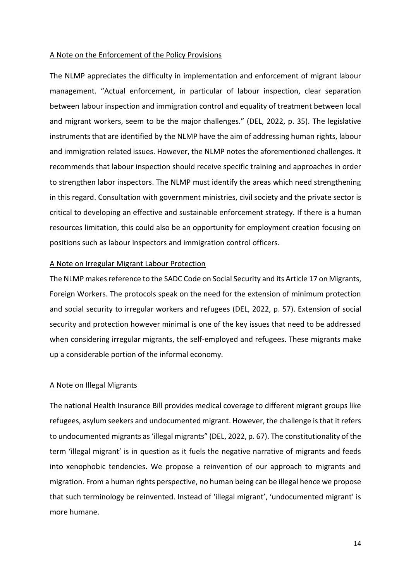## A Note on the Enforcement of the Policy Provisions

The NLMP appreciates the difficulty in implementation and enforcement of migrant labour management. "Actual enforcement, in particular of labour inspection, clear separation between labour inspection and immigration control and equality of treatment between local and migrant workers, seem to be the major challenges." (DEL, 2022, p. 35). The legislative instruments that are identified by the NLMP have the aim of addressing human rights, labour and immigration related issues. However, the NLMP notes the aforementioned challenges. It recommends that labour inspection should receive specific training and approaches in order to strengthen labor inspectors. The NLMP must identify the areas which need strengthening in this regard. Consultation with government ministries, civil society and the private sector is critical to developing an effective and sustainable enforcement strategy. If there is a human resources limitation, this could also be an opportunity for employment creation focusing on positions such as labour inspectors and immigration control officers.

## A Note on Irregular Migrant Labour Protection

The NLMP makes reference to the SADC Code on Social Security and its Article 17 on Migrants, Foreign Workers. The protocols speak on the need for the extension of minimum protection and social security to irregular workers and refugees (DEL, 2022, p. 57). Extension of social security and protection however minimal is one of the key issues that need to be addressed when considering irregular migrants, the self-employed and refugees. These migrants make up a considerable portion of the informal economy.

## A Note on Illegal Migrants

The national Health Insurance Bill provides medical coverage to different migrant groups like refugees, asylum seekers and undocumented migrant. However, the challenge is that it refers to undocumented migrants as 'illegal migrants" (DEL, 2022, p. 67). The constitutionality of the term 'illegal migrant' is in question as it fuels the negative narrative of migrants and feeds into xenophobic tendencies. We propose a reinvention of our approach to migrants and migration. From a human rights perspective, no human being can be illegal hence we propose that such terminology be reinvented. Instead of 'illegal migrant', 'undocumented migrant' is more humane.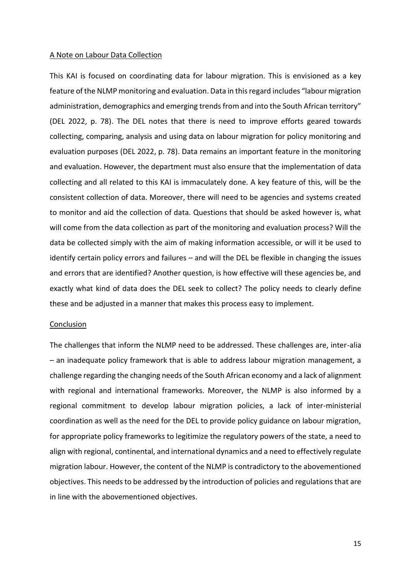### A Note on Labour Data Collection

This KAI is focused on coordinating data for labour migration. This is envisioned as a key feature of the NLMP monitoring and evaluation. Data in this regard includes "labour migration administration, demographics and emerging trends from and into the South African territory" (DEL 2022, p. 78). The DEL notes that there is need to improve efforts geared towards collecting, comparing, analysis and using data on labour migration for policy monitoring and evaluation purposes (DEL 2022, p. 78). Data remains an important feature in the monitoring and evaluation. However, the department must also ensure that the implementation of data collecting and all related to this KAI is immaculately done. A key feature of this, will be the consistent collection of data. Moreover, there will need to be agencies and systems created to monitor and aid the collection of data. Questions that should be asked however is, what will come from the data collection as part of the monitoring and evaluation process? Will the data be collected simply with the aim of making information accessible, or will it be used to identify certain policy errors and failures – and will the DEL be flexible in changing the issues and errors that are identified? Another question, is how effective will these agencies be, and exactly what kind of data does the DEL seek to collect? The policy needs to clearly define these and be adjusted in a manner that makes this process easy to implement.

## Conclusion

The challenges that inform the NLMP need to be addressed. These challenges are, inter-alia – an inadequate policy framework that is able to address labour migration management, a challenge regarding the changing needs of the South African economy and a lack of alignment with regional and international frameworks. Moreover, the NLMP is also informed by a regional commitment to develop labour migration policies, a lack of inter-ministerial coordination as well as the need for the DEL to provide policy guidance on labour migration, for appropriate policy frameworks to legitimize the regulatory powers of the state, a need to align with regional, continental, and international dynamics and a need to effectively regulate migration labour. However, the content of the NLMP is contradictory to the abovementioned objectives. This needs to be addressed by the introduction of policies and regulations that are in line with the abovementioned objectives.